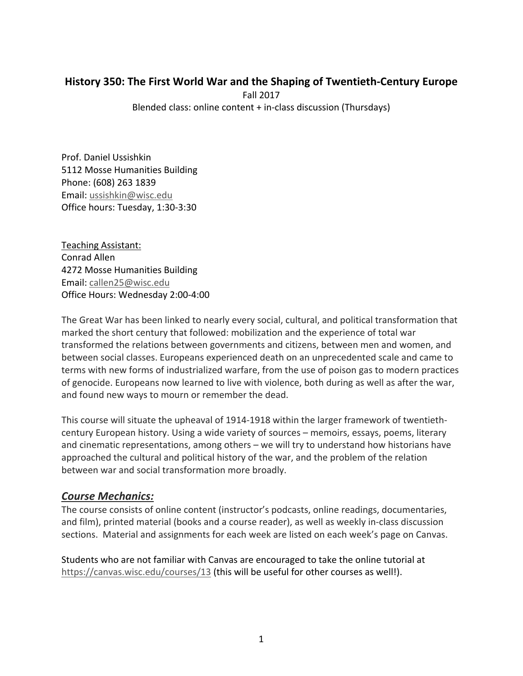# **History 350: The First World War and the Shaping of Twentieth‐Century Europe**

Fall 2017 Blended class: online content + in‐class discussion (Thursdays)

Prof. Daniel Ussishkin 5112 Mosse Humanities Building Phone: (608) 263 1839 Email: ussishkin@wisc.edu Office hours: Tuesday, 1:30‐3:30

Teaching Assistant: Conrad Allen 4272 Mosse Humanities Building Email: callen25@wisc.edu Office Hours: Wednesday 2:00‐4:00

The Great War has been linked to nearly every social, cultural, and political transformation that marked the short century that followed: mobilization and the experience of total war transformed the relations between governments and citizens, between men and women, and between social classes. Europeans experienced death on an unprecedented scale and came to terms with new forms of industrialized warfare, from the use of poison gas to modern practices of genocide. Europeans now learned to live with violence, both during as well as after the war, and found new ways to mourn or remember the dead.

This course will situate the upheaval of 1914‐1918 within the larger framework of twentieth‐ century European history. Using a wide variety of sources – memoirs, essays, poems, literary and cinematic representations, among others – we will try to understand how historians have approached the cultural and political history of the war, and the problem of the relation between war and social transformation more broadly.

# *Course Mechanics:*

The course consists of online content (instructor's podcasts, online readings, documentaries, and film), printed material (books and a course reader), as well as weekly in‐class discussion sections. Material and assignments for each week are listed on each week's page on Canvas.

Students who are not familiar with Canvas are encouraged to take the online tutorial at https://canvas.wisc.edu/courses/13 (this will be useful for other courses as well!).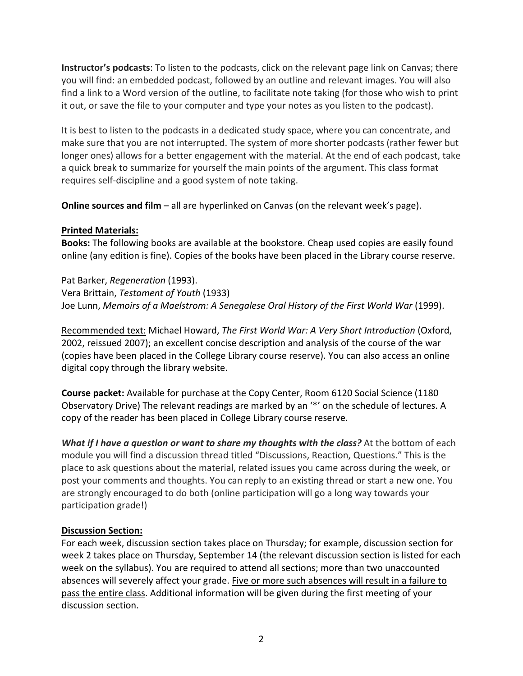**Instructor's podcasts**: To listen to the podcasts, click on the relevant page link on Canvas; there you will find: an embedded podcast, followed by an outline and relevant images. You will also find a link to a Word version of the outline, to facilitate note taking (for those who wish to print it out, or save the file to your computer and type your notes as you listen to the podcast).

It is best to listen to the podcasts in a dedicated study space, where you can concentrate, and make sure that you are not interrupted. The system of more shorter podcasts (rather fewer but longer ones) allows for a better engagement with the material. At the end of each podcast, take a quick break to summarize for yourself the main points of the argument. This class format requires self‐discipline and a good system of note taking.

**Online sources and film** – all are hyperlinked on Canvas (on the relevant week's page).

### **Printed Materials:**

**Books:** The following books are available at the bookstore. Cheap used copies are easily found online (any edition is fine). Copies of the books have been placed in the Library course reserve.

Pat Barker, *Regeneration* (1993). Vera Brittain, *Testament of Youth* (1933) Joe Lunn, *Memoirs of a Maelstrom: A Senegalese Oral History of the First World War* (1999).

Recommended text: Michael Howard, *The First World War: A Very Short Introduction* (Oxford, 2002, reissued 2007); an excellent concise description and analysis of the course of the war (copies have been placed in the College Library course reserve). You can also access an online digital copy through the library website.

**Course packet:** Available for purchase at the Copy Center, Room 6120 Social Science (1180 Observatory Drive) The relevant readings are marked by an '\*' on the schedule of lectures. A copy of the reader has been placed in College Library course reserve.

*What if I have a question or want to share my thoughts with the class?* At the bottom of each module you will find a discussion thread titled "Discussions, Reaction, Questions." This is the place to ask questions about the material, related issues you came across during the week, or post your comments and thoughts. You can reply to an existing thread or start a new one. You are strongly encouraged to do both (online participation will go a long way towards your participation grade!)

### **Discussion Section:**

For each week, discussion section takes place on Thursday; for example, discussion section for week 2 takes place on Thursday, September 14 (the relevant discussion section is listed for each week on the syllabus). You are required to attend all sections; more than two unaccounted absences will severely affect your grade. Five or more such absences will result in a failure to pass the entire class. Additional information will be given during the first meeting of your discussion section.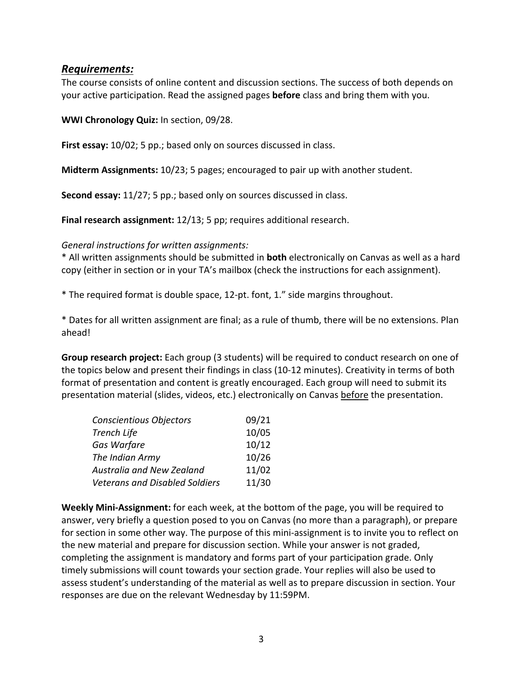### *Requirements:*

The course consists of online content and discussion sections. The success of both depends on your active participation. Read the assigned pages **before** class and bring them with you.

**WWI Chronology Quiz:** In section, 09/28.

**First essay:** 10/02; 5 pp.; based only on sources discussed in class.

**Midterm Assignments:** 10/23; 5 pages; encouraged to pair up with another student.

**Second essay:** 11/27; 5 pp.; based only on sources discussed in class.

**Final research assignment:** 12/13; 5 pp; requires additional research.

#### *General instructions for written assignments:*

\* All written assignments should be submitted in **both** electronically on Canvas as well as a hard copy (either in section or in your TA's mailbox (check the instructions for each assignment).

\* The required format is double space, 12‐pt. font, 1." side margins throughout.

\* Dates for all written assignment are final; as a rule of thumb, there will be no extensions. Plan ahead!

**Group research project:** Each group (3 students) will be required to conduct research on one of the topics below and present their findings in class (10‐12 minutes). Creativity in terms of both format of presentation and content is greatly encouraged. Each group will need to submit its presentation material (slides, videos, etc.) electronically on Canvas before the presentation.

| <b>Conscientious Objectors</b>        | 09/21 |
|---------------------------------------|-------|
| <b>Trench Life</b>                    | 10/05 |
| Gas Warfare                           | 10/12 |
| The Indian Army                       | 10/26 |
| Australia and New Zealand             | 11/02 |
| <b>Veterans and Disabled Soldiers</b> | 11/30 |

**Weekly Mini‐Assignment:** for each week, at the bottom of the page, you will be required to answer, very briefly a question posed to you on Canvas (no more than a paragraph), or prepare for section in some other way. The purpose of this mini-assignment is to invite you to reflect on the new material and prepare for discussion section. While your answer is not graded, completing the assignment is mandatory and forms part of your participation grade. Only timely submissions will count towards your section grade. Your replies will also be used to assess student's understanding of the material as well as to prepare discussion in section. Your responses are due on the relevant Wednesday by 11:59PM.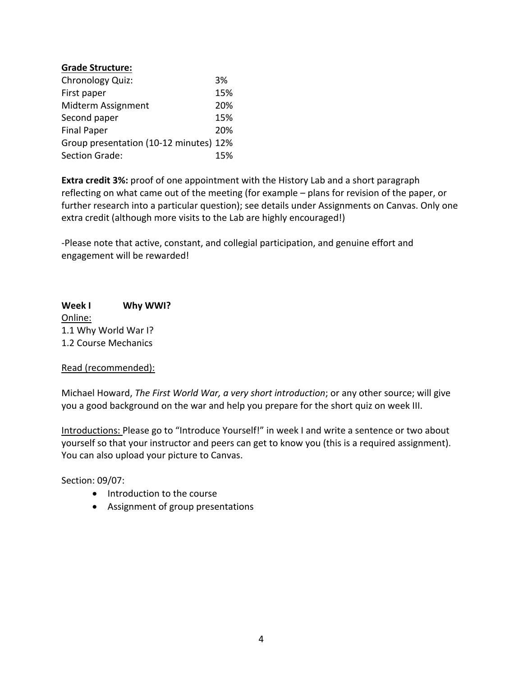#### **Grade Structure:**

| Chronology Quiz:                       | 3%  |
|----------------------------------------|-----|
| First paper                            | 15% |
| Midterm Assignment                     | 20% |
| Second paper                           | 15% |
| <b>Final Paper</b>                     | 20% |
| Group presentation (10-12 minutes) 12% |     |
| Section Grade:                         | 15% |

**Extra credit 3%:** proof of one appointment with the History Lab and a short paragraph reflecting on what came out of the meeting (for example – plans for revision of the paper, or further research into a particular question); see details under Assignments on Canvas. Only one extra credit (although more visits to the Lab are highly encouraged!)

‐Please note that active, constant, and collegial participation, and genuine effort and engagement will be rewarded!

Week I Why WWI? Online: 1.1 Why World War I? 1.2 Course Mechanics

#### Read (recommended):

Michael Howard, *The First World War, a very short introduction*; or any other source; will give you a good background on the war and help you prepare for the short quiz on week III.

Introductions: Please go to "Introduce Yourself!" in week I and write a sentence or two about yourself so that your instructor and peers can get to know you (this is a required assignment). You can also upload your picture to Canvas.

Section: 09/07:

- Introduction to the course
- Assignment of group presentations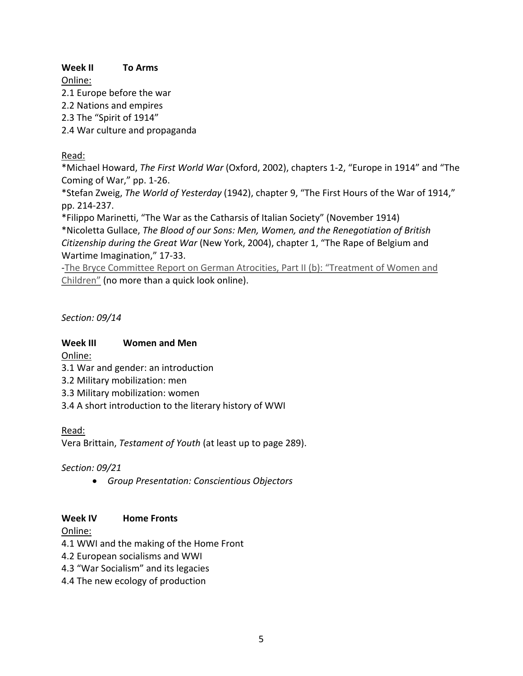**Week II To Arms**

Online: 2.1 Europe before the war 2.2 Nations and empires 2.3 The "Spirit of 1914" 2.4 War culture and propaganda

## Read:

\*Michael Howard, *The First World War* (Oxford, 2002), chapters 1‐2, "Europe in 1914" and "The Coming of War," pp. 1‐26.

\*Stefan Zweig, *The World of Yesterday* (1942), chapter 9, "The First Hours of the War of 1914," pp. 214‐237.

\*Filippo Marinetti, "The War as the Catharsis of Italian Society" (November 1914) \*Nicoletta Gullace, *The Blood of our Sons: Men, Women, and the Renegotiation of British Citizenship during the Great War* (New York, 2004), chapter 1, "The Rape of Belgium and Wartime Imagination," 17‐33.

‐The Bryce Committee Report on German Atrocities, Part II (b): "Treatment of Women and Children" (no more than a quick look online).

*Section: 09/14* 

### Week III **Women and Men**

Online:

- 3.1 War and gender: an introduction
- 3.2 Military mobilization: men
- 3.3 Military mobilization: women
- 3.4 A short introduction to the literary history of WWI

Read:

Vera Brittain, *Testament of Youth* (at least up to page 289).

*Section: 09/21* 

*Group Presentation: Conscientious Objectors*

## Week **IV Home Fronts**

Online:

- 4.1 WWI and the making of the Home Front
- 4.2 European socialisms and WWI
- 4.3 "War Socialism" and its legacies
- 4.4 The new ecology of production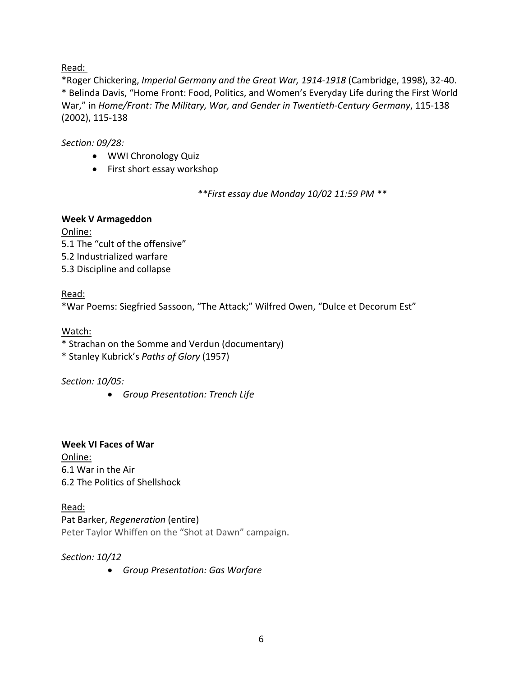Read:

\*Roger Chickering, *Imperial Germany and the Great War, 1914‐1918* (Cambridge, 1998), 32‐40. \* Belinda Davis, "Home Front: Food, Politics, and Women's Everyday Life during the First World War," in *Home/Front: The Military, War, and Gender in Twentieth‐Century Germany*, 115‐138 (2002), 115‐138

## *Section: 09/28:*

- WWI Chronology Quiz
- First short essay workshop

*\*\*First essay due Monday 10/02 11:59 PM \*\** 

## **Week V Armageddon**

Online: 5.1 The "cult of the offensive" 5.2 Industrialized warfare 5.3 Discipline and collapse

## Read:

\*War Poems: Siegfried Sassoon, "The Attack;" Wilfred Owen, "Dulce et Decorum Est"

## Watch:

\* Strachan on the Somme and Verdun (documentary)

\* Stanley Kubrick's *Paths of Glory* (1957)

*Section: 10/05:* 

*Group Presentation: Trench Life* 

**Week VI Faces of War**  Online: 6.1 War in the Air 6.2 The Politics of Shellshock

Read: Pat Barker, *Regeneration* (entire) Peter Taylor Whiffen on the "Shot at Dawn" campaign.

*Section: 10/12* 

*Group Presentation: Gas Warfare*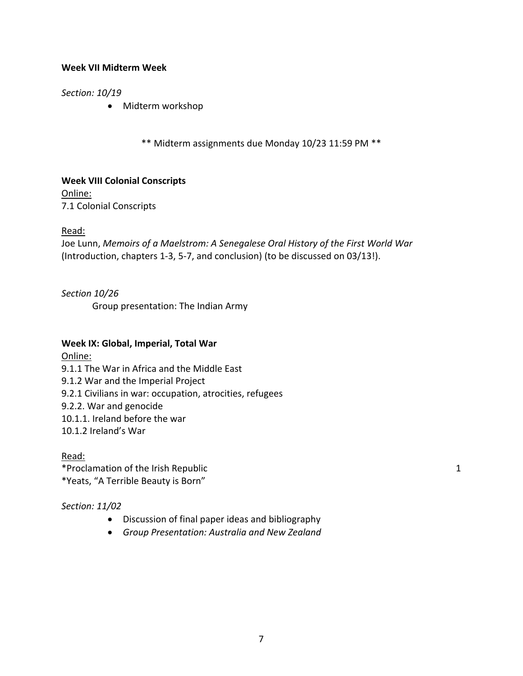#### **Week VII Midterm Week**

#### *Section: 10/19*

• Midterm workshop

\*\* Midterm assignments due Monday 10/23 11:59 PM \*\*

**Week VIII Colonial Conscripts**  Online: 7.1 Colonial Conscripts

#### Read:

Joe Lunn, *Memoirs of a Maelstrom: A Senegalese Oral History of the First World War* (Introduction, chapters 1‐3, 5‐7, and conclusion) (to be discussed on 03/13!).

*Section 10/26*  Group presentation: The Indian Army

#### **Week IX: Global, Imperial, Total War**

Online: 9.1.1 The War in Africa and the Middle East 9.1.2 War and the Imperial Project 9.2.1 Civilians in war: occupation, atrocities, refugees 9.2.2. War and genocide 10.1.1. Ireland before the war 10.1.2 Ireland's War

Read: \*Proclamation of the Irish Republic 200 and 200 and 200 and 200 and 200 and 200 and 200 and 200 and 200 and 200  $\pm 1$ \*Yeats, "A Terrible Beauty is Born"

### *Section: 11/02*

- Discussion of final paper ideas and bibliography
- *Group Presentation: Australia and New Zealand*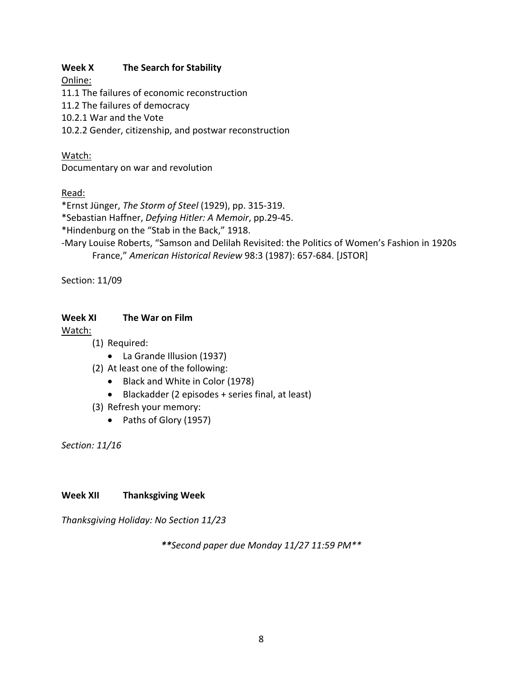### Week X **The Search for Stability**

Online:

11.1 The failures of economic reconstruction

11.2 The failures of democracy

10.2.1 War and the Vote

10.2.2 Gender, citizenship, and postwar reconstruction

## Watch:

Documentary on war and revolution

# Read:

\*Ernst Jünger, *The Storm of Steel* (1929), pp. 315‐319.

\*Sebastian Haffner, *Defying Hitler: A Memoir*, pp.29‐45.

\*Hindenburg on the "Stab in the Back," 1918.

‐Mary Louise Roberts, "Samson and Delilah Revisited: the Politics of Women's Fashion in 1920s France," *American Historical Review* 98:3 (1987): 657‐684. [JSTOR]

Section: 11/09

## **Week XI The War on Film**

## Watch:

- (1) Required:
	- La Grande Illusion (1937)
- (2) At least one of the following:
	- Black and White in Color (1978)
	- Blackadder (2 episodes + series final, at least)
- (3) Refresh your memory:
	- Paths of Glory (1957)

*Section: 11/16* 

## **Week XII Thanksgiving Week**

*Thanksgiving Holiday: No Section 11/23* 

*\*\*Second paper due Monday 11/27 11:59 PM\*\**